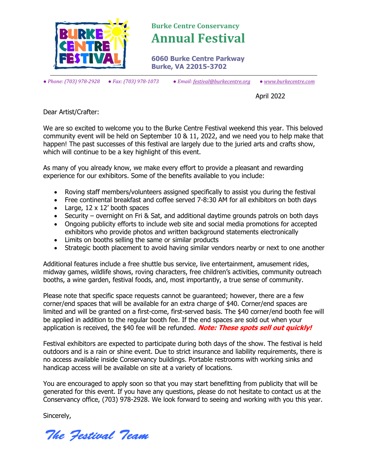

## **Burke Centre Conservancy Annual Festival**

**6060 Burke Centre Parkway Burke, VA 22015-3702**

*● Phone: (703) 978-2928 ● Fax: (703) 978-1073 ● Email[: festival@burkecentre.org](mailto:festival@burkecentre.org) ● www.burkecentre.com*

April 2022

Dear Artist/Crafter:

We are so excited to welcome you to the Burke Centre Festival weekend this year. This beloved community event will be held on September 10 & 11, 2022, and we need you to help make that happen! The past successes of this festival are largely due to the juried arts and crafts show, which will continue to be a key highlight of this event.

As many of you already know, we make every effort to provide a pleasant and rewarding experience for our exhibitors. Some of the benefits available to you include:

- Roving staff members/volunteers assigned specifically to assist you during the festival
- Free continental breakfast and coffee served 7-8:30 AM for all exhibitors on both days
- Large, 12 x 12' booth spaces
- Security overnight on Fri & Sat, and additional daytime grounds patrols on both days
- Ongoing publicity efforts to include web site and social media promotions for accepted exhibitors who provide photos and written background statements electronically
- Limits on booths selling the same or similar products
- Strategic booth placement to avoid having similar vendors nearby or next to one another

Additional features include a free shuttle bus service, live entertainment, amusement rides, midway games, wildlife shows, roving characters, free children's activities, community outreach booths, a wine garden, festival foods, and, most importantly, a true sense of community.

Please note that specific space requests cannot be guaranteed; however, there are a few corner/end spaces that will be available for an extra charge of \$40. Corner/end spaces are limited and will be granted on a first-come, first-served basis. The \$40 corner/end booth fee will be applied in addition to the regular booth fee. If the end spaces are sold out when your application is received, the \$40 fee will be refunded. **Note: These spots sell out quickly!**

Festival exhibitors are expected to participate during both days of the show. The festival is held outdoors and is a rain or shine event. Due to strict insurance and liability requirements, there is no access available inside Conservancy buildings. Portable restrooms with working sinks and handicap access will be available on site at a variety of locations.

You are encouraged to apply soon so that you may start benefitting from publicity that will be generated for this event. If you have any questions, please do not hesitate to contact us at the Conservancy office, (703) 978-2928. We look forward to seeing and working with you this year.

Sincerely,

The Festival Team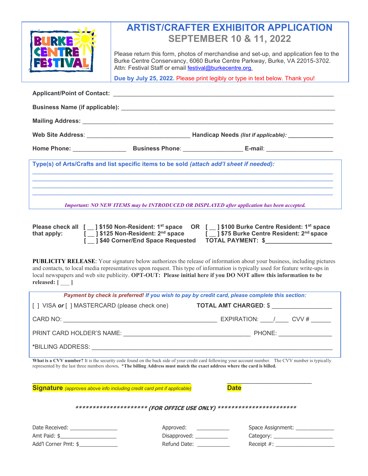

## **ARTIST/CRAFTER EXHIBITOR APPLICATION SEPTEMBER 10 & 11, 2022**

Please return this form, photos of merchandise and set-up, and application fee to the Burke Centre Conservancy, 6060 Burke Centre Parkway, Burke, VA 22015-3702. Attn: Festival Staff or email festival@burkecentre.org.

**Due by July 25, 2022.** Please print legibly or type in text below. Thank you!

| Type(s) of Arts/Crafts and list specific items to be sold (attach add'l sheet if needed):          |  | <u> 1989 - Johann Stoff, amerikansk politiker (d. 1989)</u><br>,我们也不能会在这里,我们的人们就会在这里,我们也不会在这里,我们也不会在这里,我们也不会在这里,我们也不会在这里,我们也不会在这里,我们也不会在这里,我们也不<br>,我们也不能会有什么。""我们的人,我们也不能会有什么?""我们的人,我们也不能会有什么?""我们的人,我们也不能会有什么?""我们的人,我们也不能会有什么?""                                                                                                                                                                                  |  |
|----------------------------------------------------------------------------------------------------|--|-----------------------------------------------------------------------------------------------------------------------------------------------------------------------------------------------------------------------------------------------------------------------------------------------------------------------------------------------------------------------------------------------------------------------|--|
| <b>Important: NO NEW ITEMS may be INTRODUCED OR DISPLAYED after application has been accepted.</b> |  |                                                                                                                                                                                                                                                                                                                                                                                                                       |  |
|                                                                                                    |  | Please check all [ ] \$150 Non-Resident: 1 <sup>st</sup> space OR [ ] \$100 Burke Centre Resident: 1 <sup>st</sup> space<br>that apply: $\left[\begin{array}{c} 1 \end{array}\right]$ \$125 Non-Resident: 2 <sup>nd</sup> space $\left[\begin{array}{c} 0 \end{array}\right]$ \$75 Burke Centre Resident: 2 <sup>nd</sup> space<br>[ __ ] \$40 Corner/End Space Requested TOTAL PAYMENT: \$__________________________ |  |

**PUBLICITY RELEASE:** Your signature below authorizes the release of information about your business, including pictures and contacts, to local media representatives upon request. This type of information is typically used for feature write-ups in local newspapers and web site publicity. **OPT-OUT: Please initial here if you DO NOT allow this information to be released: [** \_\_\_ **]**

| Payment by check is preferred! If you wish to pay by credit card, please complete this section:                                                                                                                                                                                 |                                                                                                                  |  |  |  |
|---------------------------------------------------------------------------------------------------------------------------------------------------------------------------------------------------------------------------------------------------------------------------------|------------------------------------------------------------------------------------------------------------------|--|--|--|
| [ ] VISA or [ ] MASTERCARD (please check one)                                                                                                                                                                                                                                   | TOTAL AMT CHARGED: \$ ___________________                                                                        |  |  |  |
|                                                                                                                                                                                                                                                                                 |                                                                                                                  |  |  |  |
|                                                                                                                                                                                                                                                                                 |                                                                                                                  |  |  |  |
|                                                                                                                                                                                                                                                                                 |                                                                                                                  |  |  |  |
| What is a CVV number? It is the security code found on the back side of your credit card following your account number. The CVV number is typically<br>represented by the last three numbers shown. *The billing Address must match the exact address where the card is billed. |                                                                                                                  |  |  |  |
|                                                                                                                                                                                                                                                                                 |                                                                                                                  |  |  |  |
| <b>Signature</b> (approves above info including credit card pmt if applicable)<br><b>Date</b>                                                                                                                                                                                   |                                                                                                                  |  |  |  |
|                                                                                                                                                                                                                                                                                 |                                                                                                                  |  |  |  |
| ********************** (FOR OFFICE USE ONLY) ***********************                                                                                                                                                                                                            |                                                                                                                  |  |  |  |
| Date Received: _________________                                                                                                                                                                                                                                                | Approved: ______________<br>Space Assignment: _______________                                                    |  |  |  |
| Amt Paid: \$                                                                                                                                                                                                                                                                    | Disapproved: _____________                                                                                       |  |  |  |
| Add'l Corner Pmt: \$______________                                                                                                                                                                                                                                              | Refund Date: Networks and the set of the set of the set of the set of the set of the set of the set of the set o |  |  |  |
|                                                                                                                                                                                                                                                                                 |                                                                                                                  |  |  |  |